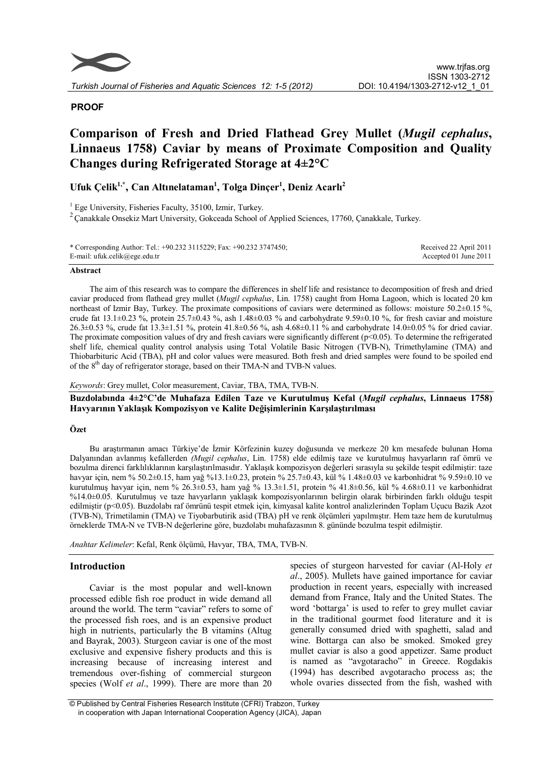

# **PROOF**

# **Comparison of Fresh and Dried Flathead Grey Mullet (***Mugil cephalus***, Linnaeus 1758) Caviar by means of Proximate Composition and Quality Changes during Refrigerated Storage at 4±2°C**

# **Ufuk Çelik1,\* , Can Altınelataman<sup>1</sup> , Tolga Dinçer<sup>1</sup> , Deniz Acarlı<sup>2</sup>**

<sup>1</sup> Ege University, Fisheries Faculty, 35100, Izmir, Turkey.

<sup>2</sup> Canakkale Onsekiz Mart University, Gokceada School of Applied Sciences, 17760, Çanakkale, Turkey.

| * Corresponding Author: Tel.: +90.232 3115229; Fax: +90.232 3747450; | Received 22 April 2011 |
|----------------------------------------------------------------------|------------------------|
| E-mail: ufuk.celik@ege.edu.tr                                        | Accepted 01 June 2011  |

#### **Abstract**

The aim of this research was to compare the differences in shelf life and resistance to decomposition of fresh and dried caviar produced from flathead grey mullet (*Mugil cephalus*, Lin. 1758) caught from Homa Lagoon, which is located 20 km northeast of Izmir Bay, Turkey. The proximate compositions of caviars were determined as follows: moisture 50.2±0.15 %, crude fat  $13.1\pm0.23$  %, protein  $25.7\pm0.43$  %, ash  $1.48\pm0.03$  % and carbohydrate  $9.59\pm0.10$  %, for fresh caviar and moisture 26.3±0.53 %, crude fat 13.3±1.51 %, protein 41.8±0.56 %, ash 4.68±0.11 % and carbohydrate 14.0±0.05 % for dried caviar. The proximate composition values of dry and fresh caviars were significantly different ( $p<0.05$ ). To determine the refrigerated shelf life, chemical quality control analysis using Total Volatile Basic Nitrogen (TVB-N), Trimethylamine (TMA) and Thiobarbituric Acid (TBA), pH and color values were measured. Both fresh and dried samples were found to be spoiled end of the 8<sup>th</sup> day of refrigerator storage, based on their TMA-N and TVB-N values.

#### *Keywords*: Grey mullet, Color measurement, Caviar, TBA, TMA, TVB-N.

**Buzdolabında 4±2°C'de Muhafaza Edilen Taze ve Kurutulmuş Kefal (***Mugil cephalus***, Linnaeus 1758) Havyarının Yaklaşık Kompozisyon ve Kalite Değişimlerinin Karşılaştırılması**

# **Özet**

Bu araştırmanın amacı Türkiye'de İzmir Körfezinin kuzey doğusunda ve merkeze 20 km mesafede bulunan Homa Dalyanından avlanmış kefallerden *(Mugil cephalus*, Lin. 1758) elde edilmiş taze ve kurutulmuş havyarların raf ömrü ve bozulma direnci farklılıklarının karşılaştırılmasıdır. Yaklaşık kompozisyon değerleri sırasıyla su şekilde tespit edilmiştir: taze havyar için, nem % 50.2±0.15, ham yağ %13.1±0.23, protein % 25.7±0.43, kül % 1.48±0.03 ve karbonhidrat % 9.59±0.10 ve kurutulmuş havyar için, nem % 26.3±0.53, ham yağ % 13.3±1.51, protein % 41.8±0.56, kül % 4.68±0.11 ve karbonhidrat %14.0±0.05. Kurutulmuş ve taze havyarların yaklaşık kompozisyonlarının belirgin olarak birbirinden farklı olduğu tespit edilmiştir (p<0.05). Buzdolabı raf ömrünü tespit etmek için, kimyasal kalite kontrol analizlerinden Toplam Uçucu Bazik Azot (TVB-N), Trimetilamin (TMA) ve Tiyobarbutirik asid (TBA) pH ve renk ölçümleri yapılmıştır. Hem taze hem de kurutulmuş örneklerde TMA-N ve TVB-N değerlerine göre, buzdolabı muhafazasının 8. gününde bozulma tespit edilmiştir.

*Anahtar Kelimeler*: Kefal, Renk ölçümü, Havyar, TBA, TMA, TVB-N.

# **Introduction**

Caviar is the most popular and well-known processed edible fish roe product in wide demand all around the world. The term "caviar" refers to some of the processed fish roes, and is an expensive product high in nutrients, particularly the B vitamins (Altug and Bayrak, 2003). Sturgeon caviar is one of the most exclusive and expensive fishery products and this is increasing because of increasing interest and tremendous over-fishing of commercial sturgeon species (Wolf *et al*., 1999). There are more than 20

species of sturgeon harvested for caviar (Al-Holy *et al*., 2005). Mullets have gained importance for caviar production in recent years, especially with increased demand from France, Italy and the United States. The word 'bottarga' is used to refer to grey mullet caviar in the traditional gourmet food literature and it is generally consumed dried with spaghetti, salad and wine. Bottarga can also be smoked. Smoked grey mullet caviar is also a good appetizer. Same product is named as "avgotaracho" in Greece. Rogdakis (1994) has described avgotaracho process as; the whole ovaries dissected from the fish, washed with

<sup>©</sup> Published by Central Fisheries Research Institute (CFRI) Trabzon, Turkey in cooperation with Japan International Cooperation Agency (JICA), Japan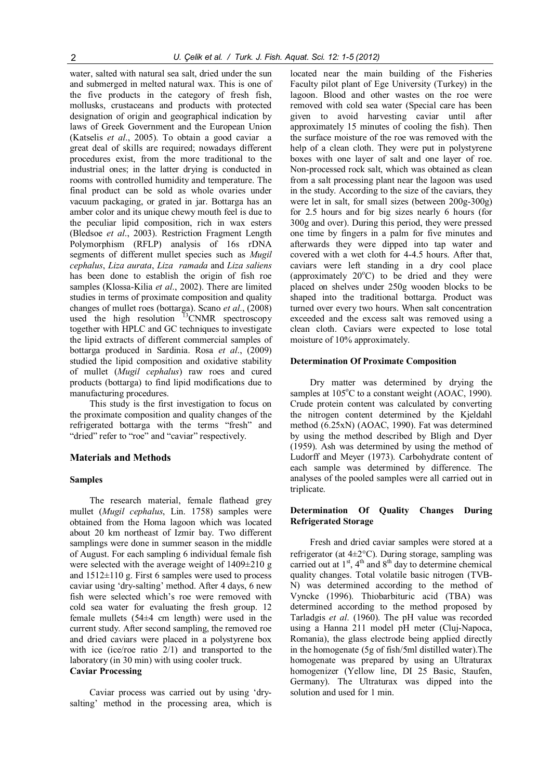water, salted with natural sea salt, dried under the sun and submerged in melted natural wax. This is one of the five products in the category of fresh fish, mollusks, crustaceans and products with protected designation of origin and geographical indication by laws of Greek Government and the European Union (Katselis *et al*., 2005). To obtain a good caviar a great deal of skills are required; nowadays different procedures exist, from the more traditional to the industrial ones; in the latter drying is conducted in rooms with controlled humidity and temperature. The final product can be sold as whole ovaries under vacuum packaging, or grated in jar. Bottarga has an amber color and its unique chewy mouth feel is due to the peculiar lipid composition, rich in wax esters (Bledsoe *et al*., 2003). Restriction Fragment Length Polymorphism (RFLP) analysis of 16s rDNA segments of different mullet species such as *Mugil cephalus*, *Liza aurata*, *Liza ramada* and *Liza saliens* has been done to establish the origin of fish roe samples (Klossa-Kilia *et al*., 2002). There are limited studies in terms of proximate composition and quality changes of mullet roes (bottarga). Scano *et al*., (2008) used the high resolution  $13$ CNMR spectroscopy together with HPLC and GC techniques to investigate the lipid extracts of different commercial samples of bottarga produced in Sardinia. Rosa *et al*., (2009) studied the lipid composition and oxidative stability of mullet (*Mugil cephalus*) raw roes and cured products (bottarga) to find lipid modifications due to manufacturing procedures.

This study is the first investigation to focus on the proximate composition and quality changes of the refrigerated bottarga with the terms "fresh" and "dried" refer to "roe" and "caviar" respectively.

#### **Materials and Methods**

#### **Samples**

The research material, female flathead grey mullet (*Mugil cephalus*, Lin. 1758) samples were obtained from the Homa lagoon which was located about 20 km northeast of Izmir bay. Two different samplings were done in summer season in the middle of August. For each sampling 6 individual female fish were selected with the average weight of  $1409 \pm 210$  g and  $1512\pm110$  g. First 6 samples were used to process caviar using 'dry-salting' method. After 4 days, 6 new fish were selected which's roe were removed with cold sea water for evaluating the fresh group. 12 female mullets (54±4 cm length) were used in the current study. After second sampling, the removed roe and dried caviars were placed in a polystyrene box with ice (ice/roe ratio 2/1) and transported to the laboratory (in 30 min) with using cooler truck.

# **Caviar Processing**

Caviar process was carried out by using 'drysalting' method in the processing area, which is

located near the main building of the Fisheries Faculty pilot plant of Ege University (Turkey) in the lagoon. Blood and other wastes on the roe were removed with cold sea water (Special care has been given to avoid harvesting caviar until after approximately 15 minutes of cooling the fish). Then the surface moisture of the roe was removed with the help of a clean cloth. They were put in polystyrene boxes with one layer of salt and one layer of roe. Non-processed rock salt, which was obtained as clean from a salt processing plant near the lagoon was used in the study. According to the size of the caviars, they were let in salt, for small sizes (between 200g-300g) for 2.5 hours and for big sizes nearly 6 hours (for 300g and over). During this period, they were pressed one time by fingers in a palm for five minutes and afterwards they were dipped into tap water and covered with a wet cloth for 4-4.5 hours. After that, caviars were left standing in a dry cool place (approximately  $20^{\circ}$ C) to be dried and they were placed on shelves under 250g wooden blocks to be shaped into the traditional bottarga. Product was turned over every two hours. When salt concentration exceeded and the excess salt was removed using a clean cloth. Caviars were expected to lose total moisture of 10% approximately.

#### **Determination Of Proximate Composition**

Dry matter was determined by drying the samples at  $105^{\circ}$ C to a constant weight (AOAC, 1990). Crude protein content was calculated by converting the nitrogen content determined by the Kjeldahl method (6.25xN) (AOAC, 1990). Fat was determined by using the method described by Bligh and Dyer (1959). Ash was determined by using the method of Ludorff and Meyer (1973). Carbohydrate content of each sample was determined by difference. The analyses of the pooled samples were all carried out in triplicate.

# **Determination Of Quality Changes During Refrigerated Storage**

Fresh and dried caviar samples were stored at a refrigerator (at  $4\pm2^{\circ}$ C). During storage, sampling was carried out at  $1<sup>st</sup>$ ,  $4<sup>th</sup>$  and  $8<sup>th</sup>$  day to determine chemical quality changes. Total volatile basic nitrogen (TVB-N) was determined according to the method of Vyncke (1996). Thiobarbituric acid (TBA) was determined according to the method proposed by Tarladgis *et al*. (1960). The pH value was recorded using a Hanna 211 model pH meter (Cluj-Napoca, Romania), the glass electrode being applied directly in the homogenate (5g of fish/5ml distilled water).The homogenate was prepared by using an Ultraturax homogenizer (Yellow line, DI 25 Basic, Staufen, Germany). The Ultraturax was dipped into the solution and used for 1 min.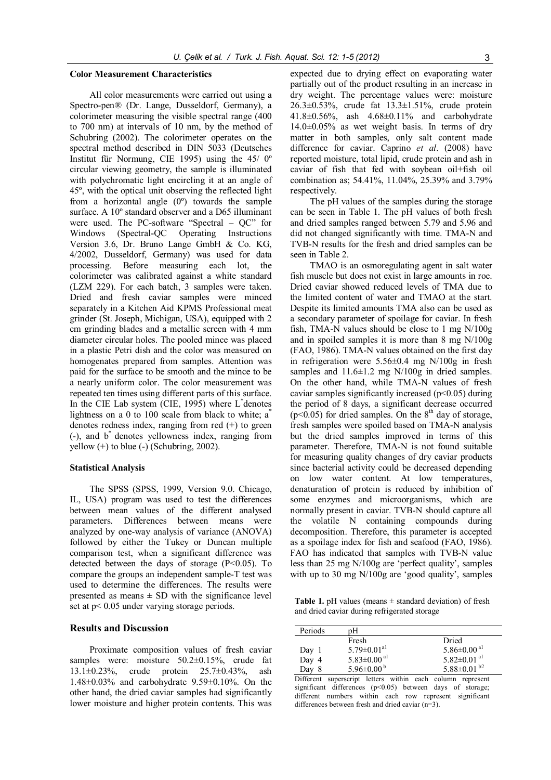#### **Color Measurement Characteristics**

All color measurements were carried out using a Spectro-pen® (Dr. Lange, Dusseldorf, Germany), a colorimeter measuring the visible spectral range (400 to 700 nm) at intervals of 10 nm, by the method of Schubring (2002). The colorimeter operates on the spectral method described in DIN 5033 (Deutsches Institut für Normung, CIE 1995) using the 45/ 0º circular viewing geometry, the sample is illuminated with polychromatic light encircling it at an angle of 45º, with the optical unit observing the reflected light from a horizontal angle (0º) towards the sample surface. A 10º standard observer and a D65 illuminant were used. The PC-software "Spectral – QC" for Windows (Spectral-QC Operating Instructions Version 3.6, Dr. Bruno Lange GmbH & Co. KG, 4/2002, Dusseldorf, Germany) was used for data processing. Before measuring each lot, the colorimeter was calibrated against a white standard (LZM 229). For each batch, 3 samples were taken. Dried and fresh caviar samples were minced separately in a Kitchen Aid KPMS Professional meat grinder (St. Joseph, Michigan, USA), equipped with 2 cm grinding blades and a metallic screen with 4 mm diameter circular holes. The pooled mince was placed in a plastic Petri dish and the color was measured on homogenates prepared from samples. Attention was paid for the surface to be smooth and the mince to be a nearly uniform color. The color measurement was repeated ten times using different parts of this surface. In the CIE Lab system (CIE, 1995) where L\* denotes lightness on a 0 to 100 scale from black to white;  $a^*$ denotes redness index, ranging from red (+) to green (-), and b\* denotes yellowness index, ranging from yellow  $(+)$  to blue  $(-)$  (Schubring, 2002).

#### **Statistical Analysis**

The SPSS (SPSS, 1999, Version 9.0. Chicago, IL, USA) program was used to test the differences between mean values of the different analysed parameters. Differences between means were analyzed by one-way analysis of variance (ANOVA) followed by either the Tukey or Duncan multiple comparison test, when a significant difference was detected between the days of storage  $(P<0.05)$ . To compare the groups an independent sample-T test was used to determine the differences. The results were presented as means  $\pm$  SD with the significance level set at p< 0.05 under varying storage periods.

#### **Results and Discussion**

Proximate composition values of fresh caviar samples were: moisture 50.2±0.15%, crude fat 13.1±0.23%, crude protein 25.7±0.43%, ash 1.48±0.03% and carbohydrate 9.59±0.10%. On the other hand, the dried caviar samples had significantly lower moisture and higher protein contents. This was

expected due to drying effect on evaporating water partially out of the product resulting in an increase in dry weight. The percentage values were: moisture 26.3±0.53%, crude fat 13.3±1.51%, crude protein 41.8±0.56%, ash 4.68±0.11% and carbohydrate  $14.0\pm0.05\%$  as wet weight basis. In terms of dry matter in both samples, only salt content made difference for caviar. Caprino *et al*. (2008) have reported moisture, total lipid, crude protein and ash in caviar of fish that fed with soybean oil+fish oil combination as; 54.41%, 11.04%, 25.39% and 3.79% respectively.

The pH values of the samples during the storage can be seen in Table 1. The pH values of both fresh and dried samples ranged between 5.79 and 5.96 and did not changed significantly with time. TMA-N and TVB-N results for the fresh and dried samples can be seen in Table 2.

TMAO is an osmoregulating agent in salt water fish muscle but does not exist in large amounts in roe. Dried caviar showed reduced levels of TMA due to the limited content of water and TMAO at the start. Despite its limited amounts TMA also can be used as a secondary parameter of spoilage for caviar. In fresh fish, TMA-N values should be close to 1 mg N/100g and in spoiled samples it is more than 8 mg N/100g (FAO, 1986). TMA-N values obtained on the first day in refrigeration were  $5.56\pm0.4$  mg N/100g in fresh samples and  $11.6 \pm 1.2$  mg N/100g in dried samples. On the other hand, while TMA-N values of fresh caviar samples significantly increased  $(p<0.05)$  during the period of 8 days, a significant decrease occurred (p<0.05) for dried samples. On the  $8<sup>th</sup>$  day of storage, fresh samples were spoiled based on TMA-N analysis but the dried samples improved in terms of this parameter. Therefore, TMA-N is not found suitable for measuring quality changes of dry caviar products since bacterial activity could be decreased depending on low water content. At low temperatures, denaturation of protein is reduced by inhibition of some enzymes and microorganisms, which are normally present in caviar. TVB-N should capture all the volatile N containing compounds during decomposition. Therefore, this parameter is accepted as a spoilage index for fish and seafood (FAO, 1986). FAO has indicated that samples with TVB-N value less than 25 mg N/100g are 'perfect quality', samples with up to 30 mg N/100g are 'good quality', samples

**Table 1.** pH values (means  $\pm$  standard deviation) of fresh and dried caviar during refrigerated storage

| Periods | pН                            |                               |
|---------|-------------------------------|-------------------------------|
|         | Fresh                         | Dried                         |
| Day 1   | $5.79 \pm 0.01$ <sup>a1</sup> | $5.86 \pm 0.00$ <sup>al</sup> |
| Day 4   | $5.83 \pm 0.00$ <sup>al</sup> | $5.82 \pm 0.01$ <sup>al</sup> |
| Day     | 5.96 $\pm$ 0.00 <sup>b</sup>  | 5.88 $\pm$ 0.01 <sup>b2</sup> |

Different superscript letters within each column represent  $s$ ignificant differences (p<0.05) between days of storage; different numbers within each row represent significant differences between fresh and dried caviar (n=3).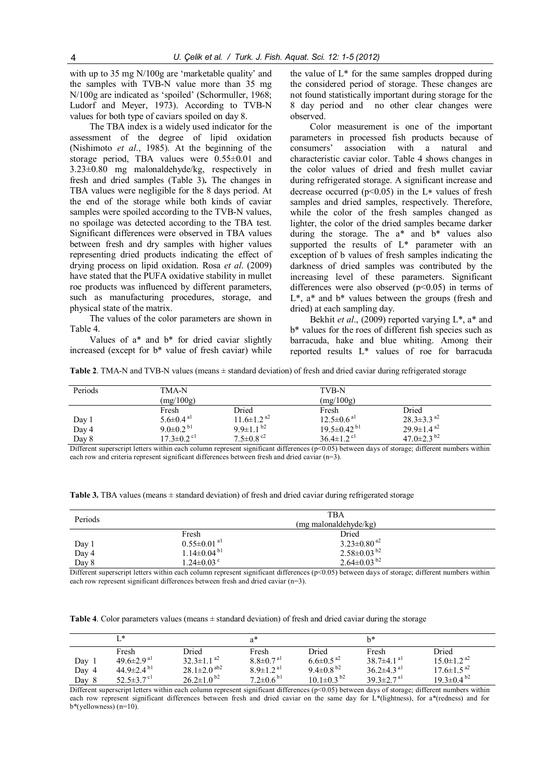with up to 35 mg N/100g are 'marketable quality' and the samples with TVB-N value more than 35 mg N/100g are indicated as 'spoiled' (Schormuller, 1968; Ludorf and Meyer, 1973). According to TVB-N values for both type of caviars spoiled on day 8.

The TBA index is a widely used indicator for the assessment of the degree of lipid oxidation (Nishimoto *et al*., 1985). At the beginning of the storage period, TBA values were 0.55±0.01 and 3.23±0.80 mg malonaldehyde/kg, respectively in fresh and dried samples (Table 3)**.** The changes in TBA values were negligible for the 8 days period. At the end of the storage while both kinds of caviar samples were spoiled according to the TVB-N values, no spoilage was detected according to the TBA test. Significant differences were observed in TBA values between fresh and dry samples with higher values representing dried products indicating the effect of drying process on lipid oxidation. Rosa *et al*. (2009) have stated that the PUFA oxidative stability in mullet roe products was influenced by different parameters, such as manufacturing procedures, storage, and physical state of the matrix.

The values of the color parameters are shown in Table 4.

Values of a\* and b\* for dried caviar slightly increased (except for b\* value of fresh caviar) while

the value of  $L^*$  for the same samples dropped during the considered period of storage. These changes are not found statistically important during storage for the 8 day period and no other clear changes were observed.

Color measurement is one of the important parameters in processed fish products because of consumers' association with a natural and characteristic caviar color. Table 4 shows changes in the color values of dried and fresh mullet caviar during refrigerated storage. A significant increase and decrease occurred ( $p<0.05$ ) in the L<sup>\*</sup> values of fresh samples and dried samples, respectively. Therefore, while the color of the fresh samples changed as lighter, the color of the dried samples became darker during the storage. The a\* and b\* values also supported the results of L\* parameter with an exception of b values of fresh samples indicating the darkness of dried samples was contributed by the increasing level of these parameters. Significant differences were also observed  $(p<0.05)$  in terms of L\*, a\* and b\* values between the groups (fresh and dried) at each sampling day.

Bekhit *et al*., (2009) reported varying L\*, a\* and b\* values for the roes of different fish species such as barracuda, hake and blue whiting. Among their reported results L\* values of roe for barracuda

**Table 2**. TMA-N and TVB-N values (means  $\pm$  standard deviation) of fresh and dried caviar during refrigerated storage

| Periods        | TMA-N<br>(mg/100g)                                                  |                                                                       | TVB-N<br>(mg/100g)                                                     |                                                             |  |
|----------------|---------------------------------------------------------------------|-----------------------------------------------------------------------|------------------------------------------------------------------------|-------------------------------------------------------------|--|
| Day 1<br>Day 4 | Fresh<br>$5.6 \pm 0.4$ <sup>a1</sup><br>$9.0 \pm 0.2$ <sup>b1</sup> | Dried<br>$11.6 \pm 1.2$ <sup>a2</sup><br>$9.9 \pm 1.1$ b <sup>2</sup> | Fresh<br>$12.5 \pm 0.6$ <sup>al</sup><br>$19.5 \pm 0.42$ <sup>b1</sup> | Dried<br>$28.3 \pm 3.3$ <sup>a2</sup><br>$29.9 \pm 1.4^{2}$ |  |
| Day 8          | $17.3 \pm 0.2$ <sup>cl</sup>                                        | $7.5 \pm 0.8$ <sup>c2</sup>                                           | $36.4 \pm 1.2$ <sup>c1</sup>                                           | 47.0 $\pm$ 2.3 <sup>b2</sup>                                |  |

Different superscript letters within each column represent significant differences (p<0.05) between days of storage; different numbers within each row and criteria represent significant differences between fresh and dried caviar (n=3).

| Table 3. TBA values (means $\pm$ standard deviation) of fresh and dried caviar during refrigerated storage |  |  |  |  |  |  |  |  |
|------------------------------------------------------------------------------------------------------------|--|--|--|--|--|--|--|--|
|------------------------------------------------------------------------------------------------------------|--|--|--|--|--|--|--|--|

| Periods | <b>TBA</b><br>(mg malonaldehyde/kg) |                                |  |  |  |  |
|---------|-------------------------------------|--------------------------------|--|--|--|--|
|         | Fresh                               | Dried                          |  |  |  |  |
| Day 1   | $0.55 \pm 0.01$ <sup>al</sup>       | $3.23 \pm 0.80$ <sup>a2</sup>  |  |  |  |  |
| Day 4   | $1.14 \pm 0.04$ <sup>b1</sup>       | $2.58 \pm 0.03$ b <sup>2</sup> |  |  |  |  |
| Day 8   | $1.24 \pm 0.03$ <sup>c</sup>        | $2.64 \pm 0.03^{b2}$           |  |  |  |  |

Different superscript letters within each column represent significant differences (p<0.05) between days of storage; different numbers within each row represent significant differences between fresh and dried caviar (n=3).

**Table 4.** Color parameters values (means  $\pm$  standard deviation) of fresh and dried caviar during the storage

|       | T *                          |                               | $a^*$                       |                               | h*                           |                               |
|-------|------------------------------|-------------------------------|-----------------------------|-------------------------------|------------------------------|-------------------------------|
|       | Fresh                        | Dried                         | Fresh                       | Dried                         | Fresh                        | Dried                         |
| Day 1 | $49.6 \pm 2.9$ <sup>al</sup> | $32.3 \pm 1.1^{a2}$           | $8.8 \pm 0.7$ <sup>al</sup> | $6.6 \pm 0.5$ <sup>a2</sup>   | $38.7\pm4.1$ <sup>al</sup>   | $15.0 \pm 1.2$ <sup>a2</sup>  |
| Day 4 | 44.9 $\pm$ 2.4 $\rm ^{b1}$   | $28.1 \pm 2.0$ <sup>ab2</sup> | $8.9 \pm 1.2$ <sup>a1</sup> | 9.4 $\pm$ 0.8 <sup>b2</sup>   | $36.2 \pm 4.3$ <sup>a1</sup> | $17.6 \pm 1.5^{22}$           |
| Day 8 | 52.5 $\pm$ 3.7 $^{\rm cl}$   | $26.2 \pm 1.0^{b2}$           | $7.2 \pm 0.6^{b1}$          | $10.1 \pm 0.3$ b <sup>2</sup> | $39.3 \pm 2.7$ <sup>al</sup> | $19.3 \pm 0.4$ b <sup>2</sup> |

Different superscript letters within each column represent significant differences (p<0.05) between days of storage; different numbers within each row represent significant differences between fresh and dried caviar on the same day for L\*(lightness), for a\*(redness) and for b\*(yellowness) (n=10).